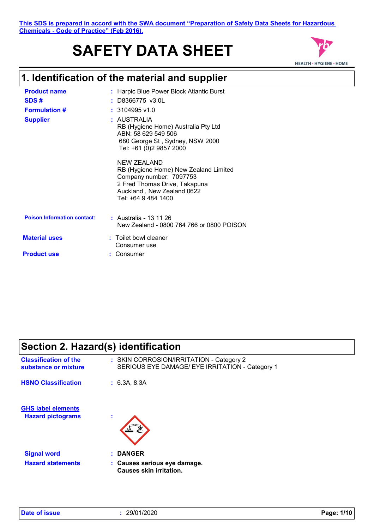# **SAFETY DATA SHEET**



## **1. Identification of the material and supplier**

| <b>Product name</b>                | : Harpic Blue Power Block Atlantic Burst                                                                                                                              |
|------------------------------------|-----------------------------------------------------------------------------------------------------------------------------------------------------------------------|
| SDS#                               | : D8366775 v3.0L                                                                                                                                                      |
| <b>Formulation #</b>               | $: 3104995$ v1.0                                                                                                                                                      |
| <b>Supplier</b>                    | : AUSTRALIA<br>RB (Hygiene Home) Australia Pty Ltd<br>ABN: 58 629 549 506<br>680 George St, Sydney, NSW 2000<br>Tel: +61 (0)2 9857 2000                               |
|                                    | NEW ZEALAND<br>RB (Hygiene Home) New Zealand Limited<br>Company number: 7097753<br>2 Fred Thomas Drive, Takapuna<br>Auckland, New Zealand 0622<br>Tel: +64 9 484 1400 |
| <b>Poison Information contact:</b> | : Australia - 13 11 26<br>New Zealand - 0800 764 766 or 0800 POISON                                                                                                   |
| <b>Material uses</b>               | : Toilet bowl cleaner<br>Consumer use                                                                                                                                 |
| <b>Product use</b>                 | Consumer                                                                                                                                                              |

# **Section 2. Hazard(s) identification**

| <b>Classification of the</b>                   | : SKIN CORROSION/IRRITATION - Category 2                                                        |
|------------------------------------------------|-------------------------------------------------------------------------------------------------|
| substance or mixture                           | SERIOUS EYE DAMAGE/ EYE IRRITATION - Category 1                                                 |
| <b>HSNO Classification</b>                     | : 6.3A, 8.3A                                                                                    |
| <b>GHS label elements</b>                      | ٠                                                                                               |
| <b>Hazard pictograms</b>                       | ٠                                                                                               |
| <b>Signal word</b><br><b>Hazard statements</b> | <b>DANGER</b><br>$\mathbf{r}$<br>: Causes serious eye damage.<br><b>Causes skin irritation.</b> |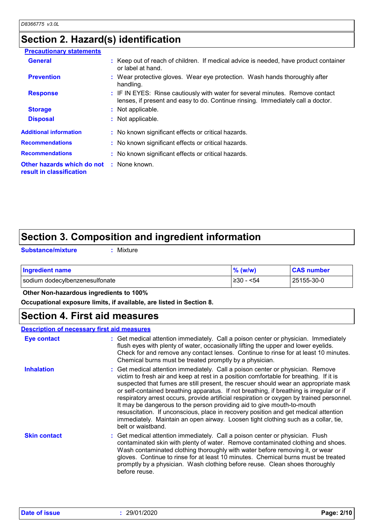# **Section 2. Hazard(s) identification**

| <b>Precautionary statements</b>                                             |                                                                                                                                                                  |
|-----------------------------------------------------------------------------|------------------------------------------------------------------------------------------------------------------------------------------------------------------|
| <b>General</b>                                                              | : Keep out of reach of children. If medical advice is needed, have product container<br>or label at hand.                                                        |
| <b>Prevention</b>                                                           | : Wear protective gloves. Wear eye protection. Wash hands thoroughly after<br>handling.                                                                          |
| <b>Response</b>                                                             | : IF IN EYES: Rinse cautiously with water for several minutes. Remove contact<br>lenses, if present and easy to do. Continue rinsing. Immediately call a doctor. |
| <b>Storage</b>                                                              | : Not applicable.                                                                                                                                                |
| <b>Disposal</b>                                                             | : Not applicable.                                                                                                                                                |
| <b>Additional information</b>                                               | : No known significant effects or critical hazards.                                                                                                              |
| <b>Recommendations</b>                                                      | : No known significant effects or critical hazards.                                                                                                              |
| <b>Recommendations</b>                                                      | : No known significant effects or critical hazards.                                                                                                              |
| <b>Other hazards which do not : None known.</b><br>result in classification |                                                                                                                                                                  |
|                                                                             |                                                                                                                                                                  |

# **Section 3. Composition and ingredient information**

**Substance/mixture :**

: Mixture

| <b>Ingredient name</b>         | $%$ (w/w)  | <b>CAS number</b> |
|--------------------------------|------------|-------------------|
| sodium dodecylbenzenesulfonate | $≥30 - 54$ | 25155-30-0        |

## **Other Non-hazardous ingredients to 100%**

**Occupational exposure limits, if available, are listed in Section 8.**

## **Section 4. First aid measures**

| <b>Description of necessary first aid measures</b> |                                                                                                                                                                                                                                                                                                                                                                                                                                                                                                                                                                                                                                                                                                                                       |
|----------------------------------------------------|---------------------------------------------------------------------------------------------------------------------------------------------------------------------------------------------------------------------------------------------------------------------------------------------------------------------------------------------------------------------------------------------------------------------------------------------------------------------------------------------------------------------------------------------------------------------------------------------------------------------------------------------------------------------------------------------------------------------------------------|
| Eye contact                                        | : Get medical attention immediately. Call a poison center or physician. Immediately<br>flush eyes with plenty of water, occasionally lifting the upper and lower eyelids.<br>Check for and remove any contact lenses. Continue to rinse for at least 10 minutes.<br>Chemical burns must be treated promptly by a physician.                                                                                                                                                                                                                                                                                                                                                                                                           |
| <b>Inhalation</b>                                  | : Get medical attention immediately. Call a poison center or physician. Remove<br>victim to fresh air and keep at rest in a position comfortable for breathing. If it is<br>suspected that fumes are still present, the rescuer should wear an appropriate mask<br>or self-contained breathing apparatus. If not breathing, if breathing is irregular or if<br>respiratory arrest occurs, provide artificial respiration or oxygen by trained personnel.<br>It may be dangerous to the person providing aid to give mouth-to-mouth<br>resuscitation. If unconscious, place in recovery position and get medical attention<br>immediately. Maintain an open airway. Loosen tight clothing such as a collar, tie,<br>belt or waistband. |
| <b>Skin contact</b>                                | : Get medical attention immediately. Call a poison center or physician. Flush<br>contaminated skin with plenty of water. Remove contaminated clothing and shoes.<br>Wash contaminated clothing thoroughly with water before removing it, or wear<br>gloves. Continue to rinse for at least 10 minutes. Chemical burns must be treated<br>promptly by a physician. Wash clothing before reuse. Clean shoes thoroughly<br>before reuse.                                                                                                                                                                                                                                                                                                 |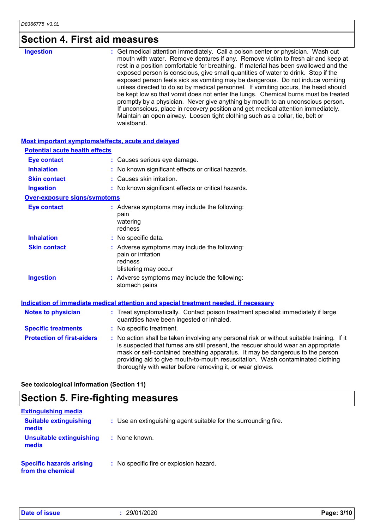# **Section 4. First aid measures**

| : Get medical attention immediately. Call a poison center or physician. Wash out<br><b>Ingestion</b><br>mouth with water. Remove dentures if any. Remove victim to fresh air and keep at<br>rest in a position comfortable for breathing. If material has been swallowed and the<br>exposed person is conscious, give small quantities of water to drink. Stop if the<br>exposed person feels sick as vomiting may be dangerous. Do not induce vomiting<br>be kept low so that vomit does not enter the lungs. Chemical burns must be treated<br>promptly by a physician. Never give anything by mouth to an unconscious person.<br>If unconscious, place in recovery position and get medical attention immediately.<br>Maintain an open airway. Loosen tight clothing such as a collar, tie, belt or |
|--------------------------------------------------------------------------------------------------------------------------------------------------------------------------------------------------------------------------------------------------------------------------------------------------------------------------------------------------------------------------------------------------------------------------------------------------------------------------------------------------------------------------------------------------------------------------------------------------------------------------------------------------------------------------------------------------------------------------------------------------------------------------------------------------------|

#### **Most important symptoms/effects, acute and delayed**

| <b>Potential acute health effects</b> |                                                                                                                                                                                                                                                                                                                                                                                                                 |
|---------------------------------------|-----------------------------------------------------------------------------------------------------------------------------------------------------------------------------------------------------------------------------------------------------------------------------------------------------------------------------------------------------------------------------------------------------------------|
| <b>Eye contact</b>                    | : Causes serious eye damage.                                                                                                                                                                                                                                                                                                                                                                                    |
| <b>Inhalation</b>                     | : No known significant effects or critical hazards.                                                                                                                                                                                                                                                                                                                                                             |
| <b>Skin contact</b>                   | : Causes skin irritation.                                                                                                                                                                                                                                                                                                                                                                                       |
| <b>Ingestion</b>                      | : No known significant effects or critical hazards.                                                                                                                                                                                                                                                                                                                                                             |
| <b>Over-exposure signs/symptoms</b>   |                                                                                                                                                                                                                                                                                                                                                                                                                 |
| <b>Eye contact</b>                    | : Adverse symptoms may include the following:<br>pain<br>watering<br>redness                                                                                                                                                                                                                                                                                                                                    |
| <b>Inhalation</b>                     | : No specific data.                                                                                                                                                                                                                                                                                                                                                                                             |
| <b>Skin contact</b>                   | : Adverse symptoms may include the following:<br>pain or irritation<br>redness<br>blistering may occur                                                                                                                                                                                                                                                                                                          |
| <b>Ingestion</b>                      | : Adverse symptoms may include the following:<br>stomach pains                                                                                                                                                                                                                                                                                                                                                  |
|                                       | <b>Indication of immediate medical attention and special treatment needed, if necessary</b>                                                                                                                                                                                                                                                                                                                     |
| <b>Notes to physician</b>             | : Treat symptomatically. Contact poison treatment specialist immediately if large<br>quantities have been ingested or inhaled.                                                                                                                                                                                                                                                                                  |
| <b>Specific treatments</b>            | : No specific treatment.                                                                                                                                                                                                                                                                                                                                                                                        |
| <b>Protection of first-aiders</b>     | : No action shall be taken involving any personal risk or without suitable training. If it<br>is suspected that fumes are still present, the rescuer should wear an appropriate<br>mask or self-contained breathing apparatus. It may be dangerous to the person<br>providing aid to give mouth-to-mouth resuscitation. Wash contaminated clothing<br>thoroughly with water before removing it, or wear gloves. |

**See toxicological information (Section 11)**

# **Section 5. Fire-fighting measures**

| <b>Extinguishing media</b>                           |                                                                 |
|------------------------------------------------------|-----------------------------------------------------------------|
| <b>Suitable extinguishing</b><br>media               | : Use an extinguishing agent suitable for the surrounding fire. |
| Unsuitable extinguishing<br>media                    | : None known.                                                   |
| <b>Specific hazards arising</b><br>from the chemical | : No specific fire or explosion hazard.                         |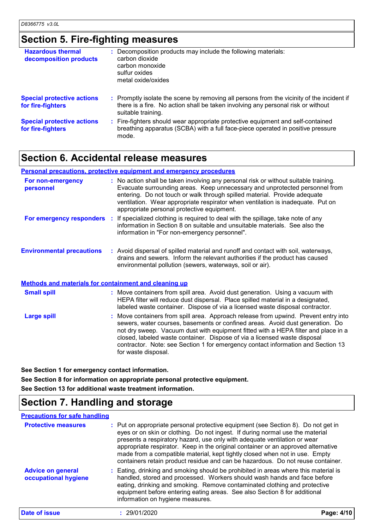# **Section 5. Fire-fighting measures**

| <b>Hazardous thermal</b><br>decomposition products     | : Decomposition products may include the following materials:<br>carbon dioxide<br>carbon monoxide<br>sulfur oxides<br>metal oxide/oxides                                                           |
|--------------------------------------------------------|-----------------------------------------------------------------------------------------------------------------------------------------------------------------------------------------------------|
| <b>Special protective actions</b><br>for fire-fighters | : Promptly isolate the scene by removing all persons from the vicinity of the incident if<br>there is a fire. No action shall be taken involving any personal risk or without<br>suitable training. |
| <b>Special protective actions</b><br>for fire-fighters | : Fire-fighters should wear appropriate protective equipment and self-contained<br>breathing apparatus (SCBA) with a full face-piece operated in positive pressure<br>mode.                         |

## **Section 6. Accidental release measures**

### **Personal precautions, protective equipment and emergency procedures**

| For non-emergency<br>personnel                               | : No action shall be taken involving any personal risk or without suitable training.<br>Evacuate surrounding areas. Keep unnecessary and unprotected personnel from<br>entering. Do not touch or walk through spilled material. Provide adequate<br>ventilation. Wear appropriate respirator when ventilation is inadequate. Put on<br>appropriate personal protective equipment.                                                                  |
|--------------------------------------------------------------|----------------------------------------------------------------------------------------------------------------------------------------------------------------------------------------------------------------------------------------------------------------------------------------------------------------------------------------------------------------------------------------------------------------------------------------------------|
| For emergency responders                                     | : If specialized clothing is required to deal with the spillage, take note of any<br>information in Section 8 on suitable and unsuitable materials. See also the<br>information in "For non-emergency personnel".                                                                                                                                                                                                                                  |
| <b>Environmental precautions</b>                             | : Avoid dispersal of spilled material and runoff and contact with soil, waterways,<br>drains and sewers. Inform the relevant authorities if the product has caused<br>environmental pollution (sewers, waterways, soil or air).                                                                                                                                                                                                                    |
| <b>Methods and materials for containment and cleaning up</b> |                                                                                                                                                                                                                                                                                                                                                                                                                                                    |
| <b>Small spill</b>                                           | : Move containers from spill area. Avoid dust generation. Using a vacuum with<br>HEPA filter will reduce dust dispersal. Place spilled material in a designated,<br>labeled waste container. Dispose of via a licensed waste disposal contractor.                                                                                                                                                                                                  |
| <b>Large spill</b>                                           | : Move containers from spill area. Approach release from upwind. Prevent entry into<br>sewers, water courses, basements or confined areas. Avoid dust generation. Do<br>not dry sweep. Vacuum dust with equipment fitted with a HEPA filter and place in a<br>closed, labeled waste container. Dispose of via a licensed waste disposal<br>contractor. Note: see Section 1 for emergency contact information and Section 13<br>for waste disposal. |

**See Section 1 for emergency contact information.**

**See Section 8 for information on appropriate personal protective equipment.**

**See Section 13 for additional waste treatment information.**

## **Section 7. Handling and storage**

### **Precautions for safe handling**

| <b>Protective measures</b>                       | : Put on appropriate personal protective equipment (see Section 8). Do not get in<br>eyes or on skin or clothing. Do not ingest. If during normal use the material<br>presents a respiratory hazard, use only with adequate ventilation or wear<br>appropriate respirator. Keep in the original container or an approved alternative<br>made from a compatible material, kept tightly closed when not in use. Empty<br>containers retain product residue and can be hazardous. Do not reuse container. |            |
|--------------------------------------------------|--------------------------------------------------------------------------------------------------------------------------------------------------------------------------------------------------------------------------------------------------------------------------------------------------------------------------------------------------------------------------------------------------------------------------------------------------------------------------------------------------------|------------|
| <b>Advice on general</b><br>occupational hygiene | : Eating, drinking and smoking should be prohibited in areas where this material is<br>handled, stored and processed. Workers should wash hands and face before<br>eating, drinking and smoking. Remove contaminated clothing and protective<br>equipment before entering eating areas. See also Section 8 for additional<br>information on hygiene measures.                                                                                                                                          |            |
| Date of issue                                    | : 29/01/2020                                                                                                                                                                                                                                                                                                                                                                                                                                                                                           | Page: 4/10 |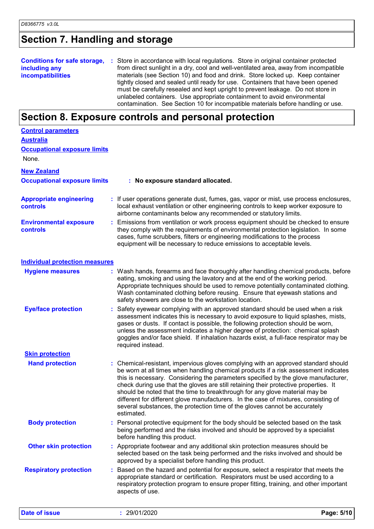# **Section 7. Handling and storage**

|                          | <b>Conditions for safe storage, :</b> Store in accordance with local regulations. Store in original container protected |
|--------------------------|-------------------------------------------------------------------------------------------------------------------------|
| including any            | from direct sunlight in a dry, cool and well-ventilated area, away from incompatible                                    |
| <b>incompatibilities</b> | materials (see Section 10) and food and drink. Store locked up. Keep container                                          |
|                          | tightly closed and sealed until ready for use. Containers that have been opened                                         |
|                          | must be carefully resealed and kept upright to prevent leakage. Do not store in                                         |
|                          | unlabeled containers. Use appropriate containment to avoid environmental                                                |
|                          | contamination. See Section 10 for incompatible materials before handling or use.                                        |

# **Section 8. Exposure controls and personal protection**

| <b>Control parameters</b><br><b>Australia</b> |                                                                                                                                                                                                                                                                                                                                                                                                                                                                                                                                                                                                                           |
|-----------------------------------------------|---------------------------------------------------------------------------------------------------------------------------------------------------------------------------------------------------------------------------------------------------------------------------------------------------------------------------------------------------------------------------------------------------------------------------------------------------------------------------------------------------------------------------------------------------------------------------------------------------------------------------|
| <b>Occupational exposure limits</b>           |                                                                                                                                                                                                                                                                                                                                                                                                                                                                                                                                                                                                                           |
| None.                                         |                                                                                                                                                                                                                                                                                                                                                                                                                                                                                                                                                                                                                           |
| <b>New Zealand</b>                            |                                                                                                                                                                                                                                                                                                                                                                                                                                                                                                                                                                                                                           |
| <b>Occupational exposure limits</b>           | : No exposure standard allocated.                                                                                                                                                                                                                                                                                                                                                                                                                                                                                                                                                                                         |
| <b>Appropriate engineering</b><br>controls    | : If user operations generate dust, fumes, gas, vapor or mist, use process enclosures,<br>local exhaust ventilation or other engineering controls to keep worker exposure to<br>airborne contaminants below any recommended or statutory limits.                                                                                                                                                                                                                                                                                                                                                                          |
| <b>Environmental exposure</b><br>controls     | Emissions from ventilation or work process equipment should be checked to ensure<br>they comply with the requirements of environmental protection legislation. In some<br>cases, fume scrubbers, filters or engineering modifications to the process<br>equipment will be necessary to reduce emissions to acceptable levels.                                                                                                                                                                                                                                                                                             |
| <b>Individual protection measures</b>         |                                                                                                                                                                                                                                                                                                                                                                                                                                                                                                                                                                                                                           |
| <b>Hygiene measures</b>                       | : Wash hands, forearms and face thoroughly after handling chemical products, before<br>eating, smoking and using the lavatory and at the end of the working period.<br>Appropriate techniques should be used to remove potentially contaminated clothing.<br>Wash contaminated clothing before reusing. Ensure that eyewash stations and<br>safety showers are close to the workstation location.                                                                                                                                                                                                                         |
| <b>Eye/face protection</b>                    | Safety eyewear complying with an approved standard should be used when a risk<br>assessment indicates this is necessary to avoid exposure to liquid splashes, mists,<br>gases or dusts. If contact is possible, the following protection should be worn,<br>unless the assessment indicates a higher degree of protection: chemical splash<br>goggles and/or face shield. If inhalation hazards exist, a full-face respirator may be<br>required instead.                                                                                                                                                                 |
| <b>Skin protection</b>                        |                                                                                                                                                                                                                                                                                                                                                                                                                                                                                                                                                                                                                           |
| <b>Hand protection</b>                        | : Chemical-resistant, impervious gloves complying with an approved standard should<br>be worn at all times when handling chemical products if a risk assessment indicates<br>this is necessary. Considering the parameters specified by the glove manufacturer,<br>check during use that the gloves are still retaining their protective properties. It<br>should be noted that the time to breakthrough for any glove material may be<br>different for different glove manufacturers. In the case of mixtures, consisting of<br>several substances, the protection time of the gloves cannot be accurately<br>estimated. |
| <b>Body protection</b>                        | : Personal protective equipment for the body should be selected based on the task<br>being performed and the risks involved and should be approved by a specialist<br>before handling this product.                                                                                                                                                                                                                                                                                                                                                                                                                       |
| <b>Other skin protection</b>                  | : Appropriate footwear and any additional skin protection measures should be<br>selected based on the task being performed and the risks involved and should be<br>approved by a specialist before handling this product.                                                                                                                                                                                                                                                                                                                                                                                                 |
| <b>Respiratory protection</b>                 | Based on the hazard and potential for exposure, select a respirator that meets the<br>appropriate standard or certification. Respirators must be used according to a<br>respiratory protection program to ensure proper fitting, training, and other important<br>aspects of use.                                                                                                                                                                                                                                                                                                                                         |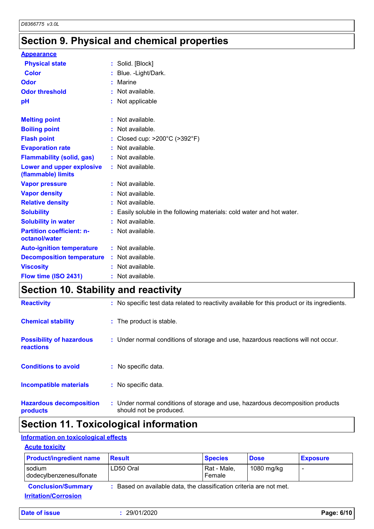# **Section 9. Physical and chemical properties**

| <b>Appearance</b>                                 |    |                                                                      |
|---------------------------------------------------|----|----------------------------------------------------------------------|
| <b>Physical state</b>                             |    | : Solid. [Block]                                                     |
| <b>Color</b>                                      |    | Blue. - Light/Dark.                                                  |
| Odor                                              |    | Marine                                                               |
| <b>Odor threshold</b>                             |    | Not available.                                                       |
| рH                                                |    | Not applicable                                                       |
| <b>Melting point</b>                              | ÷. | Not available.                                                       |
| <b>Boiling point</b>                              |    | Not available.                                                       |
| <b>Flash point</b>                                |    | Closed cup: >200°C (>392°F)                                          |
| <b>Evaporation rate</b>                           |    | Not available.                                                       |
| <b>Flammability (solid, gas)</b>                  |    | : Not available.                                                     |
| Lower and upper explosive<br>(flammable) limits   |    | : Not available.                                                     |
| <b>Vapor pressure</b>                             |    | Not available.                                                       |
| <b>Vapor density</b>                              |    | Not available.                                                       |
| <b>Relative density</b>                           |    | Not available.                                                       |
| <b>Solubility</b>                                 |    | Easily soluble in the following materials: cold water and hot water. |
| <b>Solubility in water</b>                        |    | Not available.                                                       |
| <b>Partition coefficient: n-</b><br>octanol/water |    | : Not available.                                                     |
| <b>Auto-ignition temperature</b>                  |    | $:$ Not available.                                                   |
| <b>Decomposition temperature</b>                  |    | : Not available.                                                     |
| <b>Viscosity</b>                                  |    | Not available.                                                       |
| Flow time (ISO 2431)                              |    | Not available.                                                       |

# **Section 10. Stability and reactivity**

| <b>Reactivity</b>                                   | : No specific test data related to reactivity available for this product or its ingredients.              |
|-----------------------------------------------------|-----------------------------------------------------------------------------------------------------------|
| <b>Chemical stability</b>                           | : The product is stable.                                                                                  |
| <b>Possibility of hazardous</b><br><b>reactions</b> | : Under normal conditions of storage and use, hazardous reactions will not occur.                         |
| <b>Conditions to avoid</b>                          | : No specific data.                                                                                       |
| <b>Incompatible materials</b>                       | : No specific data.                                                                                       |
| <b>Hazardous decomposition</b><br>products          | : Under normal conditions of storage and use, hazardous decomposition products<br>should not be produced. |

# **Section 11. Toxicological information**

## **Information on toxicological effects**

## **Acute toxicity**

| <b>Product/ingredient name</b>                           | <b>Result</b>                                                       | <b>Species</b>        | <b>Dose</b> | <b>Exposure</b> |
|----------------------------------------------------------|---------------------------------------------------------------------|-----------------------|-------------|-----------------|
| l sodium<br>dodecylbenzenesulfonate                      | LD50 Oral                                                           | Rat - Male,<br>Female | 1080 mg/kg  |                 |
| <b>Conclusion/Summary</b><br><b>Irritation/Corrosion</b> | : Based on available data, the classification criteria are not met. |                       |             |                 |

|  | <b>Date of issue</b> |  |
|--|----------------------|--|
|  |                      |  |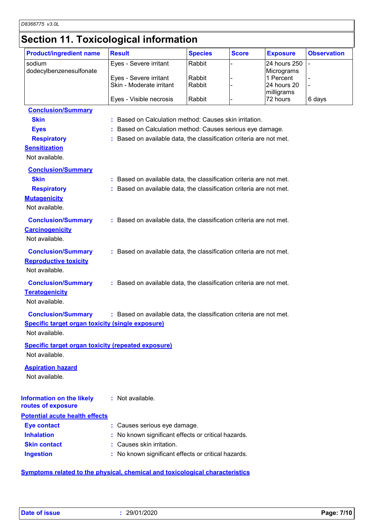## **Section 11. Toxicological information**

| <b>Product/ingredient name</b>                            | <b>Result</b>                                                       | <b>Species</b> | <b>Score</b> | <b>Exposure</b>            | <b>Observation</b> |
|-----------------------------------------------------------|---------------------------------------------------------------------|----------------|--------------|----------------------------|--------------------|
| sodium<br>dodecylbenzenesulfonate                         | Eyes - Severe irritant                                              | Rabbit         |              | 24 hours 250<br>Micrograms | $\overline{a}$     |
|                                                           | Eyes - Severe irritant                                              | Rabbit         |              | 1 Percent                  |                    |
|                                                           | Skin - Moderate irritant                                            | Rabbit         |              | 24 hours 20                |                    |
|                                                           | Eyes - Visible necrosis                                             | Rabbit         |              | milligrams<br>72 hours     | 6 days             |
| <b>Conclusion/Summary</b>                                 |                                                                     |                |              |                            |                    |
| <b>Skin</b>                                               | : Based on Calculation method: Causes skin irritation.              |                |              |                            |                    |
| <b>Eyes</b>                                               | : Based on Calculation method: Causes serious eye damage.           |                |              |                            |                    |
| <b>Respiratory</b>                                        | : Based on available data, the classification criteria are not met. |                |              |                            |                    |
| <b>Sensitization</b>                                      |                                                                     |                |              |                            |                    |
| Not available.                                            |                                                                     |                |              |                            |                    |
| <b>Conclusion/Summary</b>                                 |                                                                     |                |              |                            |                    |
| <b>Skin</b>                                               | : Based on available data, the classification criteria are not met. |                |              |                            |                    |
| <b>Respiratory</b>                                        | : Based on available data, the classification criteria are not met. |                |              |                            |                    |
| <b>Mutagenicity</b>                                       |                                                                     |                |              |                            |                    |
| Not available.                                            |                                                                     |                |              |                            |                    |
| <b>Conclusion/Summary</b>                                 | : Based on available data, the classification criteria are not met. |                |              |                            |                    |
| <b>Carcinogenicity</b>                                    |                                                                     |                |              |                            |                    |
| Not available.                                            |                                                                     |                |              |                            |                    |
|                                                           |                                                                     |                |              |                            |                    |
| <b>Conclusion/Summary</b>                                 | : Based on available data, the classification criteria are not met. |                |              |                            |                    |
| <b>Reproductive toxicity</b>                              |                                                                     |                |              |                            |                    |
| Not available.                                            |                                                                     |                |              |                            |                    |
| <b>Conclusion/Summary</b>                                 | : Based on available data, the classification criteria are not met. |                |              |                            |                    |
| <b>Teratogenicity</b>                                     |                                                                     |                |              |                            |                    |
| Not available.                                            |                                                                     |                |              |                            |                    |
| <b>Conclusion/Summary</b>                                 | : Based on available data, the classification criteria are not met. |                |              |                            |                    |
| <b>Specific target organ toxicity (single exposure)</b>   |                                                                     |                |              |                            |                    |
| Not available.                                            |                                                                     |                |              |                            |                    |
| <b>Specific target organ toxicity (repeated exposure)</b> |                                                                     |                |              |                            |                    |
| Not available.                                            |                                                                     |                |              |                            |                    |
| <b>Aspiration hazard</b>                                  |                                                                     |                |              |                            |                    |
| Not available.                                            |                                                                     |                |              |                            |                    |
|                                                           |                                                                     |                |              |                            |                    |
| <b>Information on the likely</b><br>routes of exposure    | : Not available.                                                    |                |              |                            |                    |
| <b>Potential acute health effects</b>                     |                                                                     |                |              |                            |                    |
| <b>Eye contact</b>                                        | : Causes serious eye damage.                                        |                |              |                            |                    |
| <b>Inhalation</b>                                         | No known significant effects or critical hazards.                   |                |              |                            |                    |
| <b>Skin contact</b>                                       | : Causes skin irritation.                                           |                |              |                            |                    |
| <b>Ingestion</b>                                          | No known significant effects or critical hazards.                   |                |              |                            |                    |

**Symptoms related to the physical, chemical and toxicological characteristics**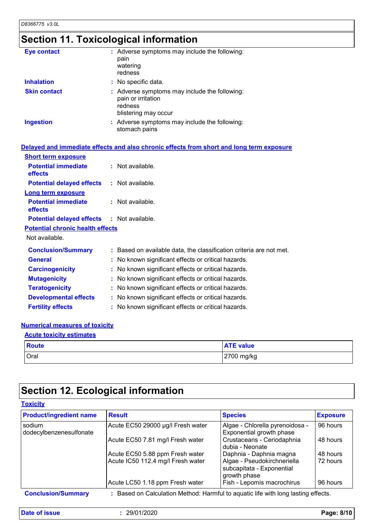# **Section 11. Toxicological information**

| <b>Eye contact</b>  | : Adverse symptoms may include the following:<br>pain<br>watering<br>redness                           |
|---------------------|--------------------------------------------------------------------------------------------------------|
| <b>Inhalation</b>   | : No specific data.                                                                                    |
| <b>Skin contact</b> | : Adverse symptoms may include the following:<br>pain or irritation<br>redness<br>blistering may occur |
| <b>Ingestion</b>    | : Adverse symptoms may include the following:<br>stomach pains                                         |

|                                                   | Delayed and immediate effects and also chronic effects from short and long term exposure |
|---------------------------------------------------|------------------------------------------------------------------------------------------|
| <b>Short term exposure</b>                        |                                                                                          |
| <b>Potential immediate</b><br>effects             | $:$ Not available.                                                                       |
| <b>Potential delayed effects</b>                  | : Not available.                                                                         |
| <b>Long term exposure</b>                         |                                                                                          |
| <b>Potential immediate</b><br>effects             | $:$ Not available.                                                                       |
| <b>Potential delayed effects : Not available.</b> |                                                                                          |
| <b>Potential chronic health effects</b>           |                                                                                          |
| Not available.                                    |                                                                                          |
| <b>Conclusion/Summary</b>                         | : Based on available data, the classification criteria are not met.                      |
| <b>General</b>                                    | : No known significant effects or critical hazards.                                      |
| <b>Carcinogenicity</b>                            | : No known significant effects or critical hazards.                                      |
| <b>Mutagenicity</b>                               | : No known significant effects or critical hazards.                                      |
| <b>Teratogenicity</b>                             | : No known significant effects or critical hazards.                                      |
| <b>Developmental effects</b>                      | : No known significant effects or critical hazards.                                      |
| <b>Fertility effects</b>                          | : No known significant effects or critical hazards.                                      |

## **Numerical measures of toxicity**

| <b>Acute toxicity estimates</b> |              |                  |  |
|---------------------------------|--------------|------------------|--|
|                                 | <b>Route</b> | <b>ATE value</b> |  |
|                                 | Oral         | 2700 mg/kg       |  |

# **Section 12. Ecological information**

| <b>Toxicity</b>                   |                                                                                   |                                                                          |                 |  |  |
|-----------------------------------|-----------------------------------------------------------------------------------|--------------------------------------------------------------------------|-----------------|--|--|
| <b>Product/ingredient name</b>    | <b>Result</b>                                                                     | <b>Species</b>                                                           | <b>Exposure</b> |  |  |
| sodium<br>dodecylbenzenesulfonate | Acute EC50 29000 µg/l Fresh water                                                 | Algae - Chlorella pyrenoidosa -<br>Exponential growth phase              | 96 hours        |  |  |
|                                   | Acute EC50 7.81 mg/l Fresh water                                                  | Crustaceans - Ceriodaphnia<br>dubia - Neonate                            | 48 hours        |  |  |
|                                   | Acute EC50 5.88 ppm Fresh water                                                   | Daphnia - Daphnia magna                                                  | 48 hours        |  |  |
|                                   | Acute IC50 112.4 mg/l Fresh water                                                 | Algae - Pseudokirchneriella<br>subcapitata - Exponential<br>growth phase | 72 hours        |  |  |
|                                   | Acute LC50 1.18 ppm Fresh water                                                   | Fish - Lepomis macrochirus                                               | 96 hours        |  |  |
| <b>Conclusion/Summary</b>         | : Based on Calculation Method: Harmful to aguatic life with long lasting effects. |                                                                          |                 |  |  |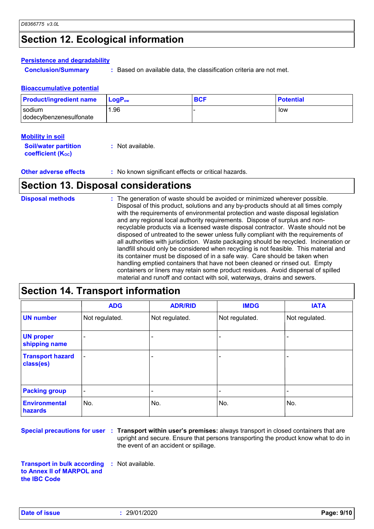# **Section 12. Ecological information**

#### **Persistence and degradability**

**Conclusion/Summary :** Based on available data, the classification criteria are not met.

#### **Bioaccumulative potential**

| <b>Product/ingredient name</b>    | ∣ LoqP <sub>ow</sub> | <b>BCF</b> | <b>Potential</b> |
|-----------------------------------|----------------------|------------|------------------|
| sodium<br>dodecylbenzenesulfonate | 96. ا                |            | low              |
|                                   |                      |            |                  |

#### **Mobility in soil**

| <b>Soil/water partition</b> | : Not available. |
|-----------------------------|------------------|
| <b>coefficient (Koc)</b>    |                  |

## **Other adverse effects** : No known significant effects or critical hazards.

## **Section 13. Disposal considerations**

| <b>Disposal methods</b> | : The generation of waste should be avoided or minimized wherever possible.<br>Disposal of this product, solutions and any by-products should at all times comply<br>with the requirements of environmental protection and waste disposal legislation<br>and any regional local authority requirements. Dispose of surplus and non-<br>recyclable products via a licensed waste disposal contractor. Waste should not be<br>disposed of untreated to the sewer unless fully compliant with the requirements of<br>all authorities with jurisdiction. Waste packaging should be recycled. Incineration or<br>landfill should only be considered when recycling is not feasible. This material and<br>its container must be disposed of in a safe way. Care should be taken when<br>handling emptied containers that have not been cleaned or rinsed out. Empty<br>containers or liners may retain some product residues. Avoid dispersal of spilled |
|-------------------------|----------------------------------------------------------------------------------------------------------------------------------------------------------------------------------------------------------------------------------------------------------------------------------------------------------------------------------------------------------------------------------------------------------------------------------------------------------------------------------------------------------------------------------------------------------------------------------------------------------------------------------------------------------------------------------------------------------------------------------------------------------------------------------------------------------------------------------------------------------------------------------------------------------------------------------------------------|
|                         | material and runoff and contact with soil, waterways, drains and sewers.                                                                                                                                                                                                                                                                                                                                                                                                                                                                                                                                                                                                                                                                                                                                                                                                                                                                           |

# **Section 14. Transport information**

|                                      | <b>ADG</b>               | <b>ADR/RID</b>           | <b>IMDG</b>    | <b>IATA</b>    |
|--------------------------------------|--------------------------|--------------------------|----------------|----------------|
| <b>UN number</b>                     | Not regulated.           | Not regulated.           | Not regulated. | Not regulated. |
| <b>UN proper</b><br>shipping name    | $\overline{\phantom{a}}$ |                          |                |                |
| <b>Transport hazard</b><br>class(es) | $\overline{\phantom{0}}$ | $\overline{\phantom{0}}$ |                |                |
| <b>Packing group</b>                 | $\overline{\phantom{a}}$ | $\overline{\phantom{0}}$ |                |                |
| <b>Environmental</b><br>hazards      | No.                      | No.                      | No.            | No.            |

**Special precautions for user Transport within user's premises:** always transport in closed containers that are **:** upright and secure. Ensure that persons transporting the product know what to do in the event of an accident or spillage.

**Transport in bulk according to Annex II of MARPOL and the IBC Code :** Not available.